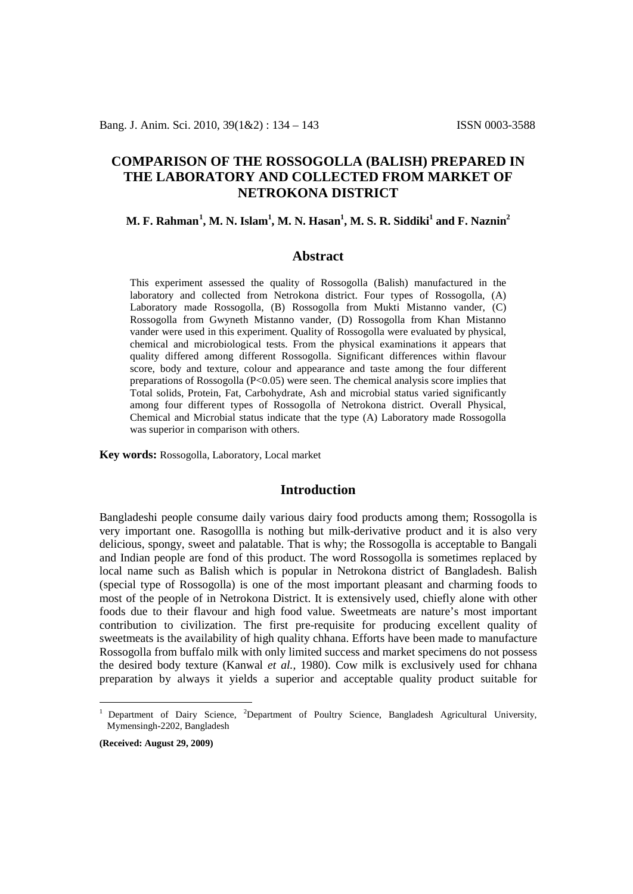# **COMPARISON OF THE ROSSOGOLLA (BALISH) PREPARED IN THE LABORATORY AND COLLECTED FROM MARKET OF NETROKONA DISTRICT**

# **M. F. Rahman[1](#page-0-0) , M. N. Islam1 , M. N. Hasan1 , M. S. R. Siddiki1 and F. Naznin2**

### **Abstract**

This experiment assessed the quality of Rossogolla (Balish) manufactured in the laboratory and collected from Netrokona district. Four types of Rossogolla, (A) Laboratory made Rossogolla, (B) Rossogolla from Mukti Mistanno vander, (C) Rossogolla from Gwyneth Mistanno vander, (D) Rossogolla from Khan Mistanno vander were used in this experiment. Quality of Rossogolla were evaluated by physical, chemical and microbiological tests. From the physical examinations it appears that quality differed among different Rossogolla. Significant differences within flavour score, body and texture, colour and appearance and taste among the four different preparations of Rossogolla (P<0.05) were seen. The chemical analysis score implies that Total solids, Protein, Fat, Carbohydrate, Ash and microbial status varied significantly among four different types of Rossogolla of Netrokona district. Overall Physical, Chemical and Microbial status indicate that the type (A) Laboratory made Rossogolla was superior in comparison with others.

**Key words:** Rossogolla, Laboratory, Local market

# **Introduction**

Bangladeshi people consume daily various dairy food products among them; Rossogolla is very important one. Rasogollla is nothing but milk-derivative product and it is also very delicious, spongy, sweet and palatable. That is why; the Rossogolla is acceptable to Bangali and Indian people are fond of this product. The word Rossogolla is sometimes replaced by local name such as Balish which is popular in Netrokona district of Bangladesh. Balish (special type of Rossogolla) is one of the most important pleasant and charming foods to most of the people of in Netrokona District. It is extensively used, chiefly alone with other foods due to their flavour and high food value. Sweetmeats are nature's most important contribution to civilization. The first pre-requisite for producing excellent quality of sweetmeats is the availability of high quality chhana. Efforts have been made to manufacture Rossogolla from buffalo milk with only limited success and market specimens do not possess the desired body texture (Kanwal *et al.,* 1980). Cow milk is exclusively used for chhana preparation by always it yields a superior and acceptable quality product suitable for

**(Received: August 29, 2009)**

<span id="page-0-0"></span><sup>1</sup> Department of Dairy Science, <sup>2</sup>Department of Poultry Science, Bangladesh Agricultural University, Mymensingh-2202, Bangladesh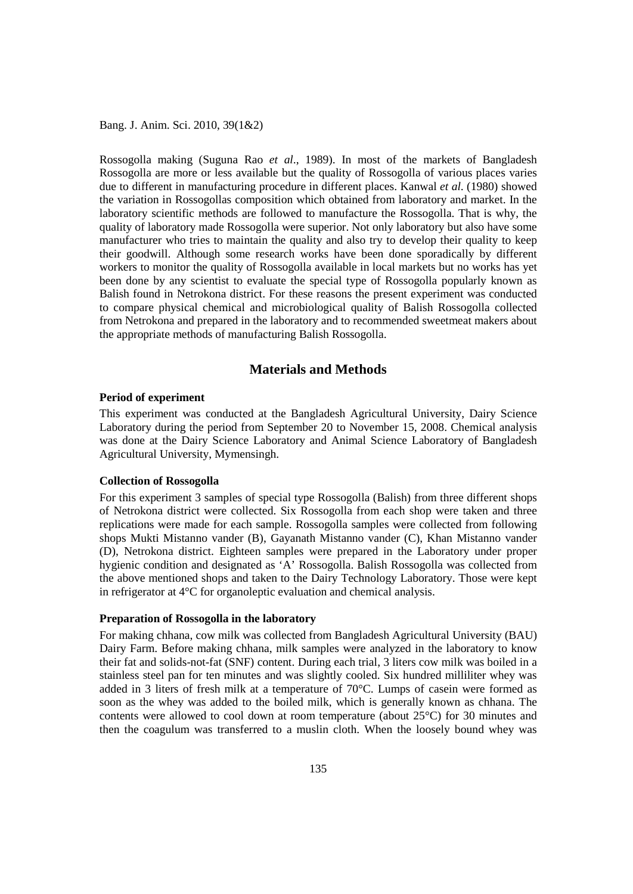Rossogolla making (Suguna Rao *et al*., 1989). In most of the markets of Bangladesh Rossogolla are more or less available but the quality of Rossogolla of various places varies due to different in manufacturing procedure in different places. Kanwal *et al*. (1980) showed the variation in Rossogollas composition which obtained from laboratory and market. In the laboratory scientific methods are followed to manufacture the Rossogolla. That is why, the quality of laboratory made Rossogolla were superior. Not only laboratory but also have some manufacturer who tries to maintain the quality and also try to develop their quality to keep their goodwill. Although some research works have been done sporadically by different workers to monitor the quality of Rossogolla available in local markets but no works has yet been done by any scientist to evaluate the special type of Rossogolla popularly known as Balish found in Netrokona district. For these reasons the present experiment was conducted to compare physical chemical and microbiological quality of Balish Rossogolla collected from Netrokona and prepared in the laboratory and to recommended sweetmeat makers about the appropriate methods of manufacturing Balish Rossogolla.

# **Materials and Methods**

### **Period of experiment**

This experiment was conducted at the Bangladesh Agricultural University, Dairy Science Laboratory during the period from September 20 to November 15, 2008. Chemical analysis was done at the Dairy Science Laboratory and Animal Science Laboratory of Bangladesh Agricultural University, Mymensingh.

## **Collection of Rossogolla**

For this experiment 3 samples of special type Rossogolla (Balish) from three different shops of Netrokona district were collected. Six Rossogolla from each shop were taken and three replications were made for each sample. Rossogolla samples were collected from following shops Mukti Mistanno vander (B), Gayanath Mistanno vander (C), Khan Mistanno vander (D), Netrokona district. Eighteen samples were prepared in the Laboratory under proper hygienic condition and designated as 'A' Rossogolla. Balish Rossogolla was collected from the above mentioned shops and taken to the Dairy Technology Laboratory. Those were kept in refrigerator at 4°C for organoleptic evaluation and chemical analysis.

#### **Preparation of Rossogolla in the laboratory**

For making chhana, cow milk was collected from Bangladesh Agricultural University (BAU) Dairy Farm. Before making chhana, milk samples were analyzed in the laboratory to know their fat and solids-not-fat (SNF) content. During each trial, 3 liters cow milk was boiled in a stainless steel pan for ten minutes and was slightly cooled. Six hundred milliliter whey was added in 3 liters of fresh milk at a temperature of 70°C. Lumps of casein were formed as soon as the whey was added to the boiled milk, which is generally known as chhana. The contents were allowed to cool down at room temperature (about 25°C) for 30 minutes and then the coagulum was transferred to a muslin cloth. When the loosely bound whey was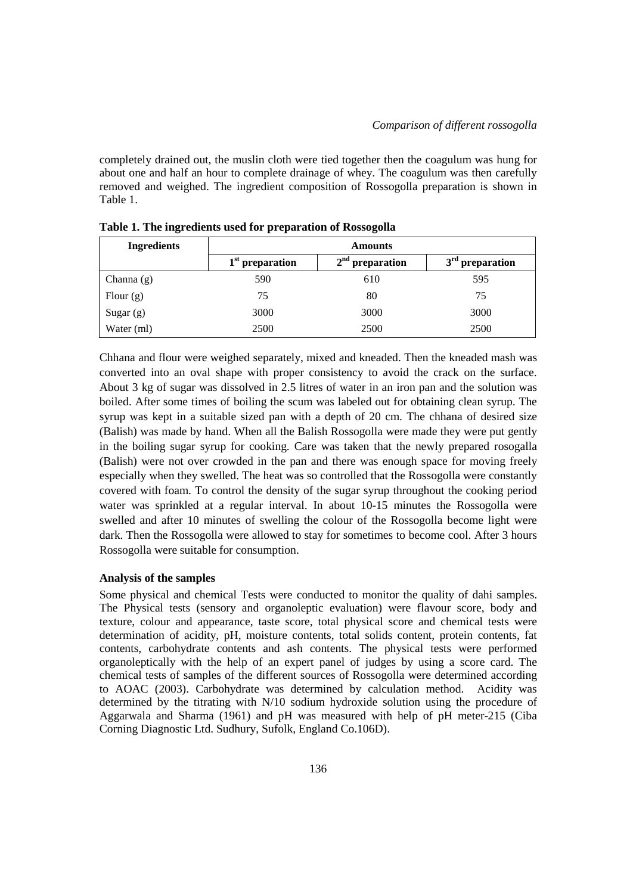completely drained out, the muslin cloth were tied together then the coagulum was hung for about one and half an hour to complete drainage of whey. The coagulum was then carefully removed and weighed. The ingredient composition of Rossogolla preparation is shown in Table 1.

| <b>Ingredients</b> | <b>Amounts</b>    |                   |                   |  |  |
|--------------------|-------------------|-------------------|-------------------|--|--|
|                    | $1st$ preparation | $2nd$ preparation | $3rd$ preparation |  |  |
| Channa $(g)$       | 590               | 610               | 595               |  |  |
| Flour $(g)$        | 75                | 80                | 75                |  |  |
| Sugar $(g)$        | 3000              | 3000              | 3000              |  |  |
| Water (ml)         | 2500              | 2500              | 2500              |  |  |

**Table 1. The ingredients used for preparation of Rossogolla**

Chhana and flour were weighed separately, mixed and kneaded. Then the kneaded mash was converted into an oval shape with proper consistency to avoid the crack on the surface. About 3 kg of sugar was dissolved in 2.5 litres of water in an iron pan and the solution was boiled. After some times of boiling the scum was labeled out for obtaining clean syrup. The syrup was kept in a suitable sized pan with a depth of 20 cm. The chhana of desired size (Balish) was made by hand. When all the Balish Rossogolla were made they were put gently in the boiling sugar syrup for cooking. Care was taken that the newly prepared rosogalla (Balish) were not over crowded in the pan and there was enough space for moving freely especially when they swelled. The heat was so controlled that the Rossogolla were constantly covered with foam. To control the density of the sugar syrup throughout the cooking period water was sprinkled at a regular interval. In about 10-15 minutes the Rossogolla were swelled and after 10 minutes of swelling the colour of the Rossogolla become light were dark. Then the Rossogolla were allowed to stay for sometimes to become cool. After 3 hours Rossogolla were suitable for consumption.

## **Analysis of the samples**

Some physical and chemical Tests were conducted to monitor the quality of dahi samples. The Physical tests (sensory and organoleptic evaluation) were flavour score, body and texture, colour and appearance, taste score, total physical score and chemical tests were determination of acidity, pH, moisture contents, total solids content, protein contents, fat contents, carbohydrate contents and ash contents. The physical tests were performed organoleptically with the help of an expert panel of judges by using a score card. The chemical tests of samples of the different sources of Rossogolla were determined according to AOAC (2003). Carbohydrate was determined by calculation method. Acidity was determined by the titrating with N/10 sodium hydroxide solution using the procedure of Aggarwala and Sharma (1961) and pH was measured with help of pH meter-215 (Ciba Corning Diagnostic Ltd. Sudhury, Sufolk, England Co.106D).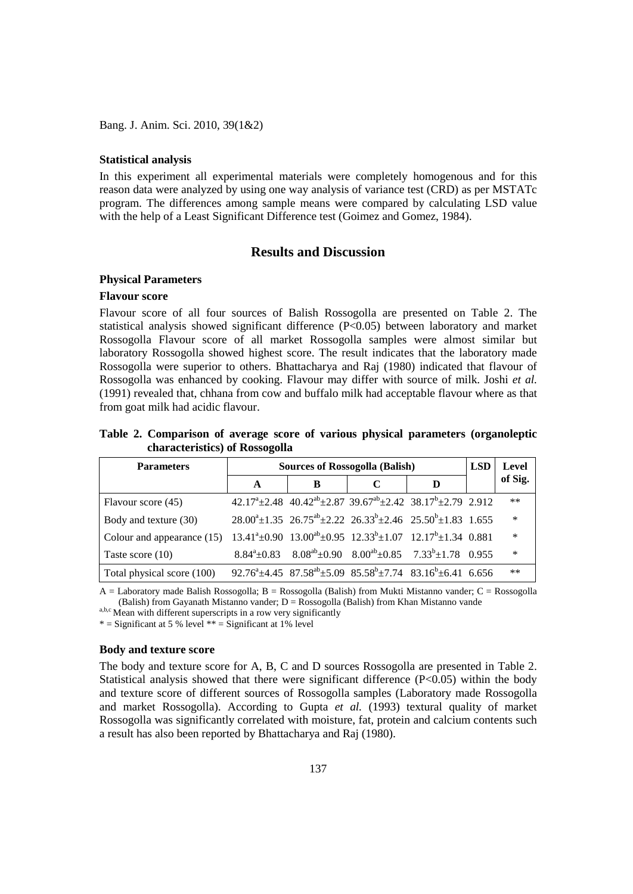#### **Statistical analysis**

In this experiment all experimental materials were completely homogenous and for this reason data were analyzed by using one way analysis of variance test (CRD) as per MSTATc program. The differences among sample means were compared by calculating LSD value with the help of a Least Significant Difference test (Goimez and Gomez, 1984).

## **Results and Discussion**

#### **Physical Parameters**

## **Flavour score**

Flavour score of all four sources of Balish Rossogolla are presented on Table 2. The statistical analysis showed significant difference (P<0.05) between laboratory and market Rossogolla Flavour score of all market Rossogolla samples were almost similar but laboratory Rossogolla showed highest score. The result indicates that the laboratory made Rossogolla were superior to others. Bhattacharya and Raj (1980) indicated that flavour of Rossogolla was enhanced by cooking. Flavour may differ with source of milk. Joshi *et al.* (1991) revealed that, chhana from cow and buffalo milk had acceptable flavour where as that from goat milk had acidic flavour.

## **Table 2. Comparison of average score of various physical parameters (organoleptic characteristics) of Rossogolla**

| <b>Parameters</b>                                                                                                                      | <b>Sources of Rossogolla (Balish)</b> |                                                                                                                        |  |   |  | Level   |
|----------------------------------------------------------------------------------------------------------------------------------------|---------------------------------------|------------------------------------------------------------------------------------------------------------------------|--|---|--|---------|
|                                                                                                                                        | A                                     | B                                                                                                                      |  | D |  | of Sig. |
| Flavour score (45)                                                                                                                     |                                       | $42.17^a \pm 2.48$ $40.42^{ab} \pm 2.87$ $39.67^{ab} \pm 2.42$ $38.17^b \pm 2.79$ $2.912$                              |  |   |  | $***$   |
| Body and texture (30)                                                                                                                  |                                       | $28.00^a \pm 1.35$ $26.75^{ab} \pm 2.22$ $26.33^b \pm 2.46$ $25.50^b \pm 1.83$ 1.655                                   |  |   |  | $\ast$  |
| Colour and appearance (15) $13.41^{\circ} \pm 0.90$ $13.00^{\circ} \pm 0.95$ $12.33^{\circ} \pm 1.07$ $12.17^{\circ} \pm 1.34$ $0.881$ |                                       |                                                                                                                        |  |   |  | $\ast$  |
| Taste score $(10)$                                                                                                                     |                                       | $8.84^{\text{a}} \pm 0.83$ $8.08^{\text{ab}} \pm 0.90$ $8.00^{\text{ab}} \pm 0.85$ $7.33^{\text{b}} \pm 1.78$ 0.955    |  |   |  | $\ast$  |
| Total physical score (100)                                                                                                             |                                       | $92.76^{\text{a}} \pm 4.45$ $87.58^{\text{ab}} \pm 5.09$ $85.58^{\text{b}} \pm 7.74$ $83.16^{\text{b}} \pm 6.41$ 6.656 |  |   |  | $***$   |

 $A =$  Laboratory made Balish Rossogolla;  $B =$ Rossogolla (Balish) from Mukti Mistanno vander;  $C =$ Rossogolla (Balish) from Gayanath Mistanno vander;  $D =$ Rossogolla (Balish) from Khan Mistanno vande

a,b,c Mean with different superscripts in a row very significantly

 $*$  = Significant at 5 % level  $**$  = Significant at 1% level

## **Body and texture score**

The body and texture score for A, B, C and D sources Rossogolla are presented in Table 2. Statistical analysis showed that there were significant difference  $(P<0.05)$  within the body and texture score of different sources of Rossogolla samples (Laboratory made Rossogolla and market Rossogolla). According to Gupta *et al.* (1993) textural quality of market Rossogolla was significantly correlated with moisture, fat, protein and calcium contents such a result has also been reported by Bhattacharya and Raj (1980).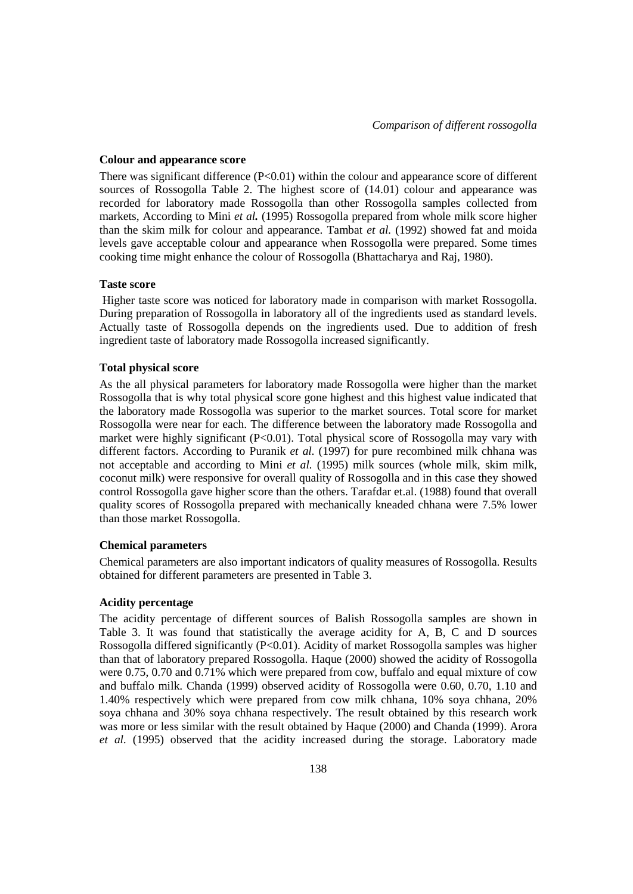#### **Colour and appearance score**

There was significant difference  $(P<0.01)$  within the colour and appearance score of different sources of Rossogolla Table 2. The highest score of (14.01) colour and appearance was recorded for laboratory made Rossogolla than other Rossogolla samples collected from markets, According to Mini *et al.* (1995) Rossogolla prepared from whole milk score higher than the skim milk for colour and appearance. Tambat *et al.* (1992) showed fat and moida levels gave acceptable colour and appearance when Rossogolla were prepared. Some times cooking time might enhance the colour of Rossogolla (Bhattacharya and Raj, 1980).

### **Taste score**

Higher taste score was noticed for laboratory made in comparison with market Rossogolla. During preparation of Rossogolla in laboratory all of the ingredients used as standard levels. Actually taste of Rossogolla depends on the ingredients used. Due to addition of fresh ingredient taste of laboratory made Rossogolla increased significantly.

## **Total physical score**

As the all physical parameters for laboratory made Rossogolla were higher than the market Rossogolla that is why total physical score gone highest and this highest value indicated that the laboratory made Rossogolla was superior to the market sources. Total score for market Rossogolla were near for each. The difference between the laboratory made Rossogolla and market were highly significant  $(P<0.01)$ . Total physical score of Rossogolla may vary with different factors. According to Puranik *et al.* (1997) for pure recombined milk chhana was not acceptable and according to Mini *et al.* (1995) milk sources (whole milk, skim milk, coconut milk) were responsive for overall quality of Rossogolla and in this case they showed control Rossogolla gave higher score than the others. Tarafdar et.al. (1988) found that overall quality scores of Rossogolla prepared with mechanically kneaded chhana were 7.5% lower than those market Rossogolla.

### **Chemical parameters**

Chemical parameters are also important indicators of quality measures of Rossogolla. Results obtained for different parameters are presented in Table 3.

## **Acidity percentage**

The acidity percentage of different sources of Balish Rossogolla samples are shown in Table 3. It was found that statistically the average acidity for A, B, C and D sources Rossogolla differed significantly (P<0.01). Acidity of market Rossogolla samples was higher than that of laboratory prepared Rossogolla. Haque (2000) showed the acidity of Rossogolla were 0.75, 0.70 and 0.71% which were prepared from cow, buffalo and equal mixture of cow and buffalo milk. Chanda (1999) observed acidity of Rossogolla were 0.60, 0.70, 1.10 and 1.40% respectively which were prepared from cow milk chhana, 10% soya chhana, 20% soya chhana and 30% soya chhana respectively. The result obtained by this research work was more or less similar with the result obtained by Haque (2000) and Chanda (1999). Arora *et al.* (1995) observed that the acidity increased during the storage. Laboratory made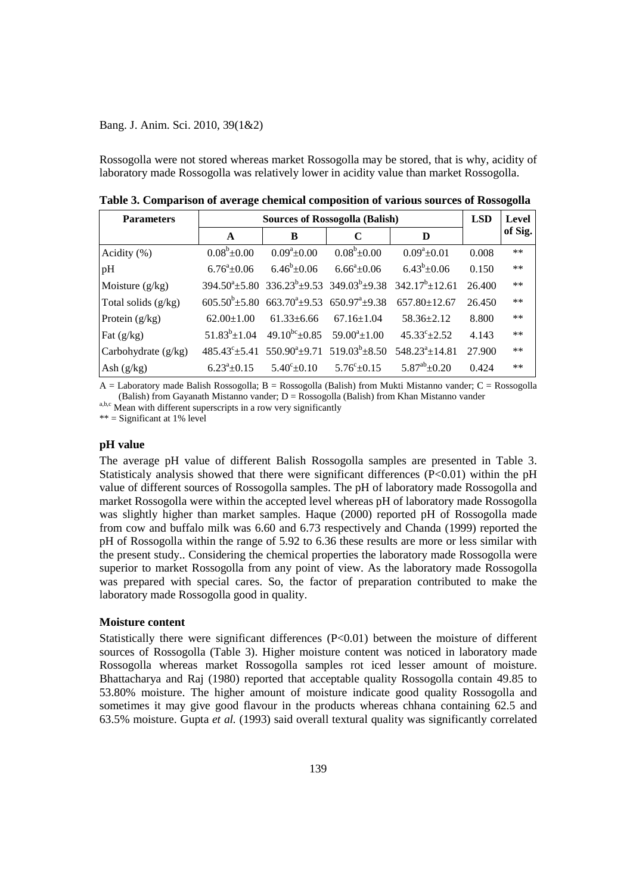Rossogolla were not stored whereas market Rossogolla may be stored, that is why, acidity of laboratory made Rossogolla was relatively lower in acidity value than market Rossogolla.

| <b>Parameters</b>     | <b>Sources of Rossogolla (Balish)</b> |                                                             |                                                                               |                                                                                                          | <b>LSD</b> | Level   |
|-----------------------|---------------------------------------|-------------------------------------------------------------|-------------------------------------------------------------------------------|----------------------------------------------------------------------------------------------------------|------------|---------|
|                       | A                                     | B                                                           | $\mathbf C$                                                                   | D                                                                                                        |            | of Sig. |
| Acidity $(\%)$        | $0.08^{\rm b}$ ±0.00                  | $0.09^a \pm 0.00$                                           | $0.08^b \pm 0.00$                                                             | $0.09^a \pm 0.01$                                                                                        | 0.008      | $***$   |
| pH                    | $6.76^{\circ}$ ±0.06                  | $6.46^b \pm 0.06$                                           | $6.66^{\circ}$ ±0.06                                                          | $6.43^b \pm 0.06$                                                                                        | 0.150      | $**$    |
| Moisture $(g/kg)$     |                                       |                                                             |                                                                               | $394.50^{\circ} \pm 5.80$ $336.23^{\circ} \pm 9.53$ $349.03^{\circ} \pm 9.38$ $342.17^{\circ} \pm 12.61$ | 26.400     | $**$    |
| Total solids (g/kg)   |                                       |                                                             | $605.50^b \pm 5.80$ $663.70^a \pm 9.53$ $650.97^a \pm 9.38$                   | $657.80 \pm 12.67$                                                                                       | 26.450     | $**$    |
| Protein $(g/kg)$      | $62.00 \pm 1.00$                      | $61.33 \pm 6.66$                                            | $67.16 \pm 1.04$                                                              | $58.36 \pm 2.12$                                                                                         | 8.800      | $**$    |
| Fat $(g/kg)$          |                                       | $51.83^b \pm 1.04$ $49.10^{bc} \pm 0.85$ $59.00^a \pm 1.00$ |                                                                               | $45.33^{\circ} \pm 2.52$                                                                                 | 4.143      | $***$   |
| Carbohydrate $(g/kg)$ |                                       |                                                             | $485.43^{\circ} \pm 5.41$ $550.90^{\circ} \pm 9.71$ $519.03^{\circ} \pm 8.50$ | $548.23^a \pm 14.81$                                                                                     | 27.900     | $**$    |
| Ash $(g/kg)$          | $6.23^{\circ}+0.15$                   | $5.40^{\circ}$ ± 0.10                                       | $5.76^{\circ}$ ± 0.15                                                         | $5.87^{ab}$ ±0.20                                                                                        | 0.424      | $***$   |

**Table 3. Comparison of average chemical composition of various sources of Rossogolla**

 $A =$  Laboratory made Balish Rossogolla;  $B =$  Rossogolla (Balish) from Mukti Mistanno vander;  $C =$  Rossogolla (Balish) from Gayanath Mistanno vander;  $D = Rososogolla$  (Balish) from Khan Mistanno vander

a,b,c Mean with different superscripts in a row very significantly

\*\* = Significant at 1% level

#### **pH value**

The average pH value of different Balish Rossogolla samples are presented in Table 3. Statisticaly analysis showed that there were significant differences  $(P<0.01)$  within the pH value of different sources of Rossogolla samples. The pH of laboratory made Rossogolla and market Rossogolla were within the accepted level whereas pH of laboratory made Rossogolla was slightly higher than market samples. Haque (2000) reported pH of Rossogolla made from cow and buffalo milk was 6.60 and 6.73 respectively and Chanda (1999) reported the pH of Rossogolla within the range of 5.92 to 6.36 these results are more or less similar with the present study.. Considering the chemical properties the laboratory made Rossogolla were superior to market Rossogolla from any point of view. As the laboratory made Rossogolla was prepared with special cares. So, the factor of preparation contributed to make the laboratory made Rossogolla good in quality.

#### **Moisture content**

Statistically there were significant differences  $(P<0.01)$  between the moisture of different sources of Rossogolla (Table 3). Higher moisture content was noticed in laboratory made Rossogolla whereas market Rossogolla samples rot iced lesser amount of moisture. Bhattacharya and Raj (1980) reported that acceptable quality Rossogolla contain 49.85 to 53.80% moisture. The higher amount of moisture indicate good quality Rossogolla and sometimes it may give good flavour in the products whereas chhana containing 62.5 and 63.5% moisture. Gupta *et al.* (1993) said overall textural quality was significantly correlated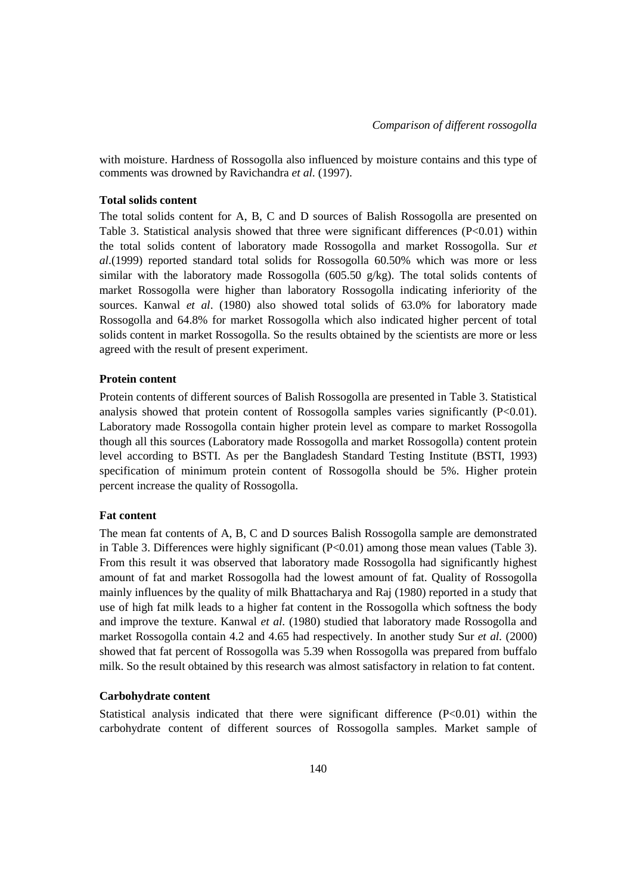with moisture. Hardness of Rossogolla also influenced by moisture contains and this type of comments was drowned by Ravichandra *et al*. (1997).

### **Total solids content**

The total solids content for A, B, C and D sources of Balish Rossogolla are presented on Table 3. Statistical analysis showed that three were significant differences (P<0.01) within the total solids content of laboratory made Rossogolla and market Rossogolla. Sur *et al*.(1999) reported standard total solids for Rossogolla 60.50% which was more or less similar with the laboratory made Rossogolla (605.50  $g/kg$ ). The total solids contents of market Rossogolla were higher than laboratory Rossogolla indicating inferiority of the sources. Kanwal *et al*. (1980) also showed total solids of 63.0% for laboratory made Rossogolla and 64.8% for market Rossogolla which also indicated higher percent of total solids content in market Rossogolla. So the results obtained by the scientists are more or less agreed with the result of present experiment.

## **Protein content**

Protein contents of different sources of Balish Rossogolla are presented in Table 3. Statistical analysis showed that protein content of Rossogolla samples varies significantly  $(P<0.01)$ . Laboratory made Rossogolla contain higher protein level as compare to market Rossogolla though all this sources (Laboratory made Rossogolla and market Rossogolla) content protein level according to BSTI. As per the Bangladesh Standard Testing Institute (BSTI, 1993) specification of minimum protein content of Rossogolla should be 5%. Higher protein percent increase the quality of Rossogolla.

## **Fat content**

The mean fat contents of A, B, C and D sources Balish Rossogolla sample are demonstrated in Table 3. Differences were highly significant (P<0.01) among those mean values (Table 3). From this result it was observed that laboratory made Rossogolla had significantly highest amount of fat and market Rossogolla had the lowest amount of fat. Quality of Rossogolla mainly influences by the quality of milk Bhattacharya and Raj (1980) reported in a study that use of high fat milk leads to a higher fat content in the Rossogolla which softness the body and improve the texture. Kanwal *et al.* (1980) studied that laboratory made Rossogolla and market Rossogolla contain 4.2 and 4.65 had respectively. In another study Sur *et al.* (2000) showed that fat percent of Rossogolla was 5.39 when Rossogolla was prepared from buffalo milk. So the result obtained by this research was almost satisfactory in relation to fat content.

## **Carbohydrate content**

Statistical analysis indicated that there were significant difference (P<0.01) within the carbohydrate content of different sources of Rossogolla samples. Market sample of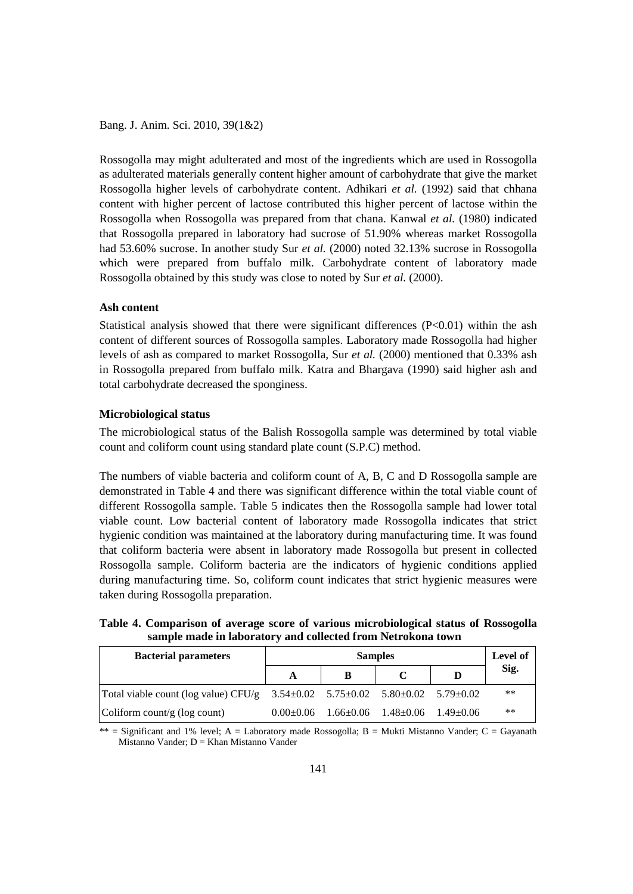Rossogolla may might adulterated and most of the ingredients which are used in Rossogolla as adulterated materials generally content higher amount of carbohydrate that give the market Rossogolla higher levels of carbohydrate content. Adhikari *et al.* (1992) said that chhana content with higher percent of lactose contributed this higher percent of lactose within the Rossogolla when Rossogolla was prepared from that chana. Kanwal *et al.* (1980) indicated that Rossogolla prepared in laboratory had sucrose of 51.90% whereas market Rossogolla had 53.60% sucrose. In another study Sur *et al.* (2000) noted 32.13% sucrose in Rossogolla which were prepared from buffalo milk. Carbohydrate content of laboratory made Rossogolla obtained by this study was close to noted by Sur *et al.* (2000).

## **Ash content**

Statistical analysis showed that there were significant differences  $(P<0.01)$  within the ash content of different sources of Rossogolla samples. Laboratory made Rossogolla had higher levels of ash as compared to market Rossogolla, Sur *et al.* (2000) mentioned that 0.33% ash in Rossogolla prepared from buffalo milk. Katra and Bhargava (1990) said higher ash and total carbohydrate decreased the sponginess.

## **Microbiological status**

The microbiological status of the Balish Rossogolla sample was determined by total viable count and coliform count using standard plate count (S.P.C) method.

The numbers of viable bacteria and coliform count of A, B, C and D Rossogolla sample are demonstrated in Table 4 and there was significant difference within the total viable count of different Rossogolla sample. Table 5 indicates then the Rossogolla sample had lower total viable count. Low bacterial content of laboratory made Rossogolla indicates that strict hygienic condition was maintained at the laboratory during manufacturing time. It was found that coliform bacteria were absent in laboratory made Rossogolla but present in collected Rossogolla sample. Coliform bacteria are the indicators of hygienic conditions applied during manufacturing time. So, coliform count indicates that strict hygienic measures were taken during Rossogolla preparation.

**Table 4. Comparison of average score of various microbiological status of Rossogolla sample made in laboratory and collected from Netrokona town**

| <b>Bacterial parameters</b>                                                                          | <b>Samples</b> |                                                         |  | Level of |
|------------------------------------------------------------------------------------------------------|----------------|---------------------------------------------------------|--|----------|
|                                                                                                      |                | В                                                       |  | Sig.     |
| Total viable count (log value) CFU/g $3.54 \pm 0.02$ $5.75 \pm 0.02$ $5.80 \pm 0.02$ $5.79 \pm 0.02$ |                |                                                         |  | $***$    |
| Coliform count/g ( $log$ count)                                                                      |                | $0.00\pm0.06$ $1.66\pm0.06$ $1.48\pm0.06$ $1.49\pm0.06$ |  | $***$    |

\*\* = Significant and 1% level; A = Laboratory made Rossogolla; B = Mukti Mistanno Vander; C = Gayanath Mistanno Vander; D = Khan Mistanno Vander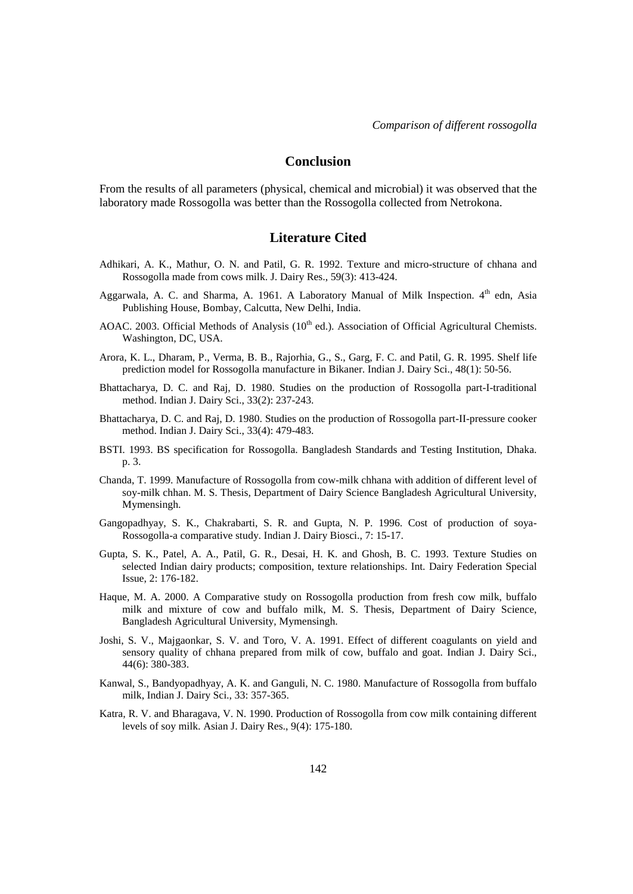# **Conclusion**

From the results of all parameters (physical, chemical and microbial) it was observed that the laboratory made Rossogolla was better than the Rossogolla collected from Netrokona.

## **Literature Cited**

- Adhikari, A. K., Mathur, O. N. and Patil, G. R. 1992. Texture and micro-structure of chhana and Rossogolla made from cows milk. J. Dairy Res., 59(3): 413-424.
- Aggarwala, A. C. and Sharma, A. 1961. A Laboratory Manual of Milk Inspection. 4<sup>th</sup> edn, Asia Publishing House, Bombay, Calcutta, New Delhi, India.
- AOAC. 2003. Official Methods of Analysis (10<sup>th</sup> ed.). Association of Official Agricultural Chemists. Washington, DC, USA.
- Arora, K. L., Dharam, P., Verma, B. B., Rajorhia, G., S., Garg, F. C. and Patil, G. R. 1995. Shelf life prediction model for Rossogolla manufacture in Bikaner. Indian J. Dairy Sci., 48(1): 50-56.
- Bhattacharya, D. C. and Raj, D. 1980. Studies on the production of Rossogolla part-I-traditional method. Indian J. Dairy Sci., 33(2): 237-243.
- Bhattacharya, D. C. and Raj, D. 1980. Studies on the production of Rossogolla part-II-pressure cooker method. Indian J. Dairy Sci., 33(4): 479-483.
- BSTI. 1993. BS specification for Rossogolla. Bangladesh Standards and Testing Institution, Dhaka. p. 3.
- Chanda, T. 1999. Manufacture of Rossogolla from cow-milk chhana with addition of different level of soy-milk chhan. M. S. Thesis, Department of Dairy Science Bangladesh Agricultural University, Mymensingh.
- Gangopadhyay, S. K., Chakrabarti, S. R. and Gupta, N. P. 1996. Cost of production of soya-Rossogolla-a comparative study. Indian J. Dairy Biosci., 7: 15-17.
- Gupta, S. K., Patel, A. A., Patil, G. R., Desai, H. K. and Ghosh, B. C. 1993. Texture Studies on selected Indian dairy products; composition, texture relationships. Int. Dairy Federation Special Issue, 2: 176-182.
- Haque, M. A. 2000. A Comparative study on Rossogolla production from fresh cow milk, buffalo milk and mixture of cow and buffalo milk, M. S. Thesis, Department of Dairy Science, Bangladesh Agricultural University, Mymensingh.
- Joshi, S. V., Majgaonkar, S. V. and Toro, V. A. 1991. Effect of different coagulants on yield and sensory quality of chhana prepared from milk of cow, buffalo and goat. Indian J. Dairy Sci., 44(6): 380-383.
- Kanwal, S., Bandyopadhyay, A. K. and Ganguli, N. C. 1980. Manufacture of Rossogolla from buffalo milk, Indian J. Dairy Sci., 33: 357-365.
- Katra, R. V. and Bharagava, V. N. 1990. Production of Rossogolla from cow milk containing different levels of soy milk. Asian J. Dairy Res., 9(4): 175-180.